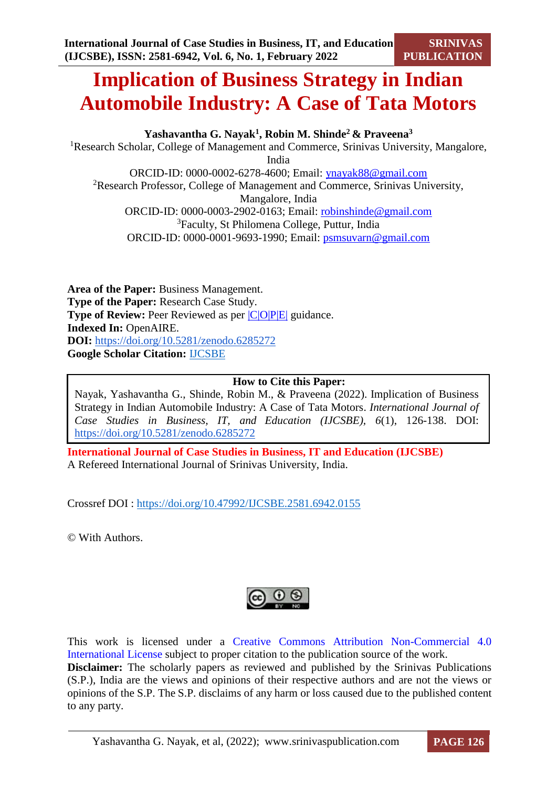# **Implication of Business Strategy in Indian Automobile Industry: A Case of Tata Motors**

**Yashavantha G. Nayak<sup>1</sup> , Robin M. Shinde<sup>2</sup>& Praveena<sup>3</sup>** <sup>1</sup>Research Scholar, College of Management and Commerce, Srinivas University, Mangalore, India ORCID-ID: 0000-0002-6278-4600; Email: [ynayak88@gmail.com](mailto:ynayak88@gmail.com) <sup>2</sup>Research Professor, College of Management and Commerce, Srinivas University, Mangalore, India ORCID-ID: 0000-0003-2902-0163; Email: [robinshinde@gmail.com](mailto:robinshinde@gmail.com) <sup>3</sup>Faculty, St Philomena College, Puttur, India ORCID-ID: 0000-0001-9693-1990; Email: [psmsuvarn@gmail.com](mailto:psmsuvarn@gmail.com)

**Area of the Paper:** Business Management. **Type of the Paper:** Research Case Study. **Type of Review:** Peer Reviewed as per  $|C|O||P|E|$  guidance. **Indexed In:** OpenAIRE. **DOI:** <https://doi.org/10.5281/zenodo.6285272> **Google Scholar Citation:** [IJCSBE](https://scholar.google.com/citations?user=yGYPA1MAAAAJ)

## **How to Cite this Paper:**

Nayak, Yashavantha G., Shinde, Robin M., & Praveena (2022). Implication of Business Strategy in Indian Automobile Industry: A Case of Tata Motors. *International Journal of Case Studies in Business, IT, and Education (IJCSBE), 6*(1), 126-138. DOI: <https://doi.org/10.5281/zenodo.6285272>

**International Journal of Case Studies in Business, IT and Education (IJCSBE)** A Refereed International Journal of Srinivas University, India.

Crossref DOI : [https://doi.org/10.47992/IJCSBE.2581.6942.0155](https://search.crossref.org/?q=10.47992%2FIJCSBE.2581.6942.0155&from_ui=yes)

© With Authors.



This work is licensed under a Creative Commons Attribution Non-Commercial 4.0 International License subject to proper citation to the publication source of the work. **Disclaimer:** The scholarly papers as reviewed and published by the Srinivas Publications (S.P.), India are the views and opinions of their respective authors and are not the views or opinions of the S.P. The S.P. disclaims of any harm or loss caused due to the published content to any party.

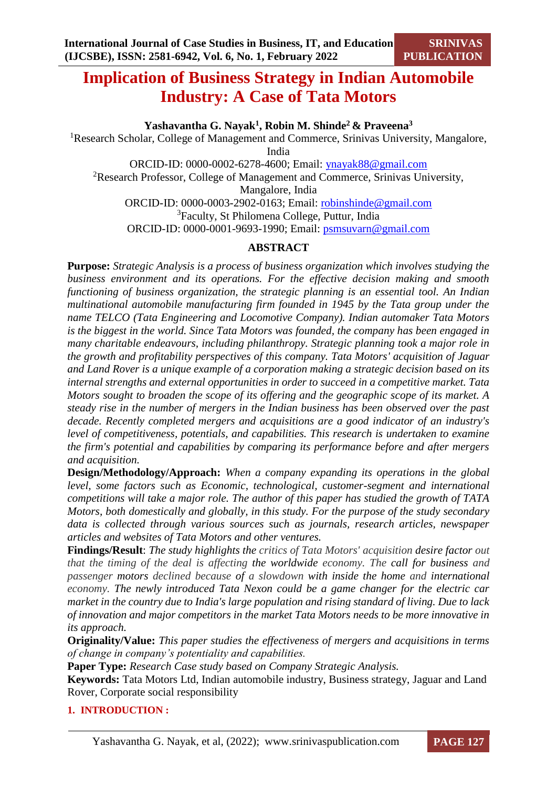## **Implication of Business Strategy in Indian Automobile Industry: A Case of Tata Motors**

**Yashavantha G. Nayak<sup>1</sup> , Robin M. Shinde<sup>2</sup>& Praveena<sup>3</sup>** <sup>1</sup>Research Scholar, College of Management and Commerce, Srinivas University, Mangalore, India ORCID-ID: 0000-0002-6278-4600; Email: [ynayak88@gmail.com](mailto:ynayak88@gmail.com) <sup>2</sup>Research Professor, College of Management and Commerce, Srinivas University, Mangalore, India ORCID-ID: 0000-0003-2902-0163; Email: [robinshinde@gmail.com](mailto:robinshinde@gmail.com) <sup>3</sup>Faculty, St Philomena College, Puttur, India ORCID-ID: 0000-0001-9693-1990; Email: [psmsuvarn@gmail.com](mailto:psmsuvarn@gmail.com)

## **ABSTRACT**

**Purpose:** *Strategic Analysis is a process of business organization which involves studying the business environment and its operations. For the effective decision making and smooth functioning of business organization, the strategic planning is an essential tool. An Indian multinational automobile manufacturing firm founded in 1945 by the Tata group under the name TELCO (Tata Engineering and Locomotive Company). Indian automaker Tata Motors is the biggest in the world. Since Tata Motors was founded, the company has been engaged in many charitable endeavours, including philanthropy. Strategic planning took a major role in the growth and profitability perspectives of this company. Tata Motors' acquisition of Jaguar and Land Rover is a unique example of a corporation making a strategic decision based on its internal strengths and external opportunities in order to succeed in a competitive market. Tata Motors sought to broaden the scope of its offering and the geographic scope of its market. A steady rise in the number of mergers in the Indian business has been observed over the past decade. Recently completed mergers and acquisitions are a good indicator of an industry's level of competitiveness, potentials, and capabilities. This research is undertaken to examine the firm's potential and capabilities by comparing its performance before and after mergers and acquisition.* 

**Design/Methodology/Approach:** *When a company expanding its operations in the global level, some factors such as Economic, technological, customer-segment and international competitions will take a major role. The author of this paper has studied the growth of TATA Motors, both domestically and globally, in this study. For the purpose of the study secondary data is collected through various sources such as journals, research articles, newspaper articles and websites of Tata Motors and other ventures.*

**Findings/Result**: *The study highlights the critics of Tata Motors' acquisition desire factor out that the timing of the deal is affecting the worldwide economy. The call for business and passenger motors declined because of a slowdown with inside the home and international economy. The newly introduced Tata Nexon could be a game changer for the electric car market in the country due to India's large population and rising standard of living. Due to lack of innovation and major competitors in the market Tata Motors needs to be more innovative in its approach.*

**Originality/Value:** *This paper studies the effectiveness of mergers and acquisitions in terms of change in company's potentiality and capabilities.* 

**Paper Type:** *Research Case study based on Company Strategic Analysis.*

**Keywords:** Tata Motors Ltd, Indian automobile industry, Business strategy, Jaguar and Land Rover, Corporate social responsibility

## **1. INTRODUCTION :**

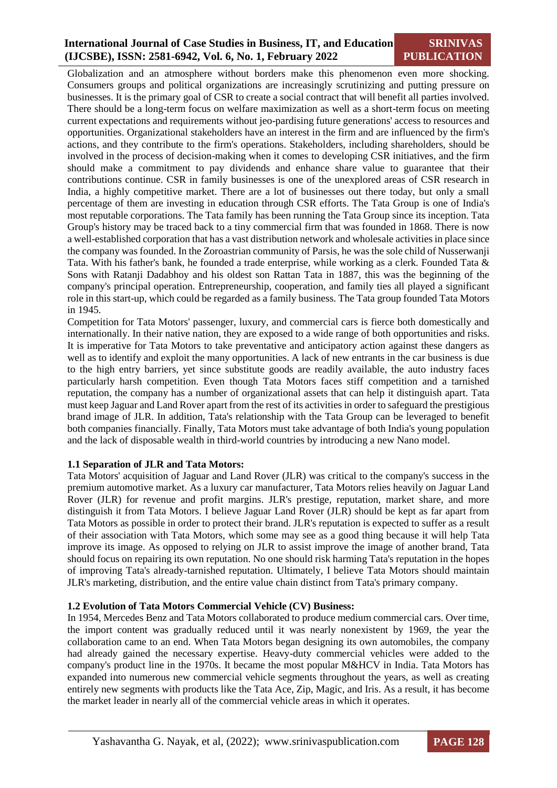## **International Journal of Case Studies in Business, IT, and Education (IJCSBE), ISSN: 2581-6942, Vol. 6, No. 1, February 2022**

## **SRINIVAS PUBLICATION**

Globalization and an atmosphere without borders make this phenomenon even more shocking. Consumers groups and political organizations are increasingly scrutinizing and putting pressure on businesses. It is the primary goal of CSR to create a social contract that will benefit all parties involved. There should be a long-term focus on welfare maximization as well as a short-term focus on meeting current expectations and requirements without jeo-pardising future generations' access to resources and opportunities. Organizational stakeholders have an interest in the firm and are influenced by the firm's actions, and they contribute to the firm's operations. Stakeholders, including shareholders, should be involved in the process of decision-making when it comes to developing CSR initiatives, and the firm should make a commitment to pay dividends and enhance share value to guarantee that their contributions continue. CSR in family businesses is one of the unexplored areas of CSR research in India, a highly competitive market. There are a lot of businesses out there today, but only a small percentage of them are investing in education through CSR efforts. The Tata Group is one of India's most reputable corporations. The Tata family has been running the Tata Group since its inception. Tata Group's history may be traced back to a tiny commercial firm that was founded in 1868. There is now a well-established corporation that has a vast distribution network and wholesale activities in place since the company was founded. In the Zoroastrian community of Parsis, he was the sole child of Nusserwanji Tata. With his father's bank, he founded a trade enterprise, while working as a clerk. Founded Tata & Sons with Ratanji Dadabhoy and his oldest son Rattan Tata in 1887, this was the beginning of the company's principal operation. Entrepreneurship, cooperation, and family ties all played a significant role in this start-up, which could be regarded as a family business. The Tata group founded Tata Motors in 1945.

Competition for Tata Motors' passenger, luxury, and commercial cars is fierce both domestically and internationally. In their native nation, they are exposed to a wide range of both opportunities and risks. It is imperative for Tata Motors to take preventative and anticipatory action against these dangers as well as to identify and exploit the many opportunities. A lack of new entrants in the car business is due to the high entry barriers, yet since substitute goods are readily available, the auto industry faces particularly harsh competition. Even though Tata Motors faces stiff competition and a tarnished reputation, the company has a number of organizational assets that can help it distinguish apart. Tata must keep Jaguar and Land Rover apart from the rest of its activities in order to safeguard the prestigious brand image of JLR. In addition, Tata's relationship with the Tata Group can be leveraged to benefit both companies financially. Finally, Tata Motors must take advantage of both India's young population and the lack of disposable wealth in third-world countries by introducing a new Nano model.

## **1.1 Separation of JLR and Tata Motors:**

Tata Motors' acquisition of Jaguar and Land Rover (JLR) was critical to the company's success in the premium automotive market. As a luxury car manufacturer, Tata Motors relies heavily on Jaguar Land Rover (JLR) for revenue and profit margins. JLR's prestige, reputation, market share, and more distinguish it from Tata Motors. I believe Jaguar Land Rover (JLR) should be kept as far apart from Tata Motors as possible in order to protect their brand. JLR's reputation is expected to suffer as a result of their association with Tata Motors, which some may see as a good thing because it will help Tata improve its image. As opposed to relying on JLR to assist improve the image of another brand, Tata should focus on repairing its own reputation. No one should risk harming Tata's reputation in the hopes of improving Tata's already-tarnished reputation. Ultimately, I believe Tata Motors should maintain JLR's marketing, distribution, and the entire value chain distinct from Tata's primary company.

#### **1.2 Evolution of Tata Motors Commercial Vehicle (CV) Business:**

In 1954, Mercedes Benz and Tata Motors collaborated to produce medium commercial cars. Over time, the import content was gradually reduced until it was nearly nonexistent by 1969, the year the collaboration came to an end. When Tata Motors began designing its own automobiles, the company had already gained the necessary expertise. Heavy-duty commercial vehicles were added to the company's product line in the 1970s. It became the most popular M&HCV in India. Tata Motors has expanded into numerous new commercial vehicle segments throughout the years, as well as creating entirely new segments with products like the Tata Ace, Zip, Magic, and Iris. As a result, it has become the market leader in nearly all of the commercial vehicle areas in which it operates.

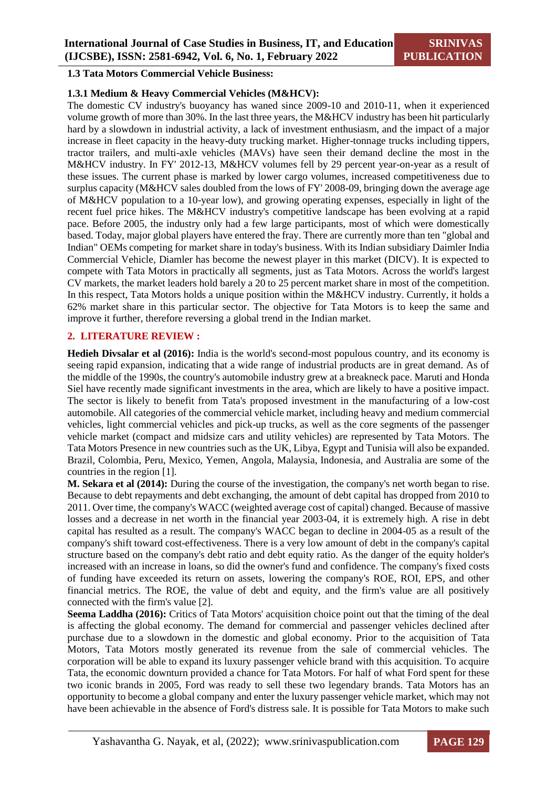#### **1.3 Tata Motors Commercial Vehicle Business:**

## **1.3.1 Medium & Heavy Commercial Vehicles (M&HCV):**

The domestic CV industry's buoyancy has waned since 2009-10 and 2010-11, when it experienced volume growth of more than 30%. In the last three years, the M&HCV industry has been hit particularly hard by a slowdown in industrial activity, a lack of investment enthusiasm, and the impact of a major increase in fleet capacity in the heavy-duty trucking market. Higher-tonnage trucks including tippers, tractor trailers, and multi-axle vehicles (MAVs) have seen their demand decline the most in the M&HCV industry. In FY' 2012-13, M&HCV volumes fell by 29 percent year-on-year as a result of these issues. The current phase is marked by lower cargo volumes, increased competitiveness due to surplus capacity (M&HCV sales doubled from the lows of FY' 2008-09, bringing down the average age of M&HCV population to a 10-year low), and growing operating expenses, especially in light of the recent fuel price hikes. The M&HCV industry's competitive landscape has been evolving at a rapid pace. Before 2005, the industry only had a few large participants, most of which were domestically based. Today, major global players have entered the fray. There are currently more than ten "global and Indian" OEMs competing for market share in today's business. With its Indian subsidiary Daimler India Commercial Vehicle, Diamler has become the newest player in this market (DICV). It is expected to compete with Tata Motors in practically all segments, just as Tata Motors. Across the world's largest CV markets, the market leaders hold barely a 20 to 25 percent market share in most of the competition. In this respect, Tata Motors holds a unique position within the M&HCV industry. Currently, it holds a 62% market share in this particular sector. The objective for Tata Motors is to keep the same and improve it further, therefore reversing a global trend in the Indian market.

#### **2. LITERATURE REVIEW :**

**Hedieh Divsalar et al (2016):** India is the world's second-most populous country, and its economy is seeing rapid expansion, indicating that a wide range of industrial products are in great demand. As of the middle of the 1990s, the country's automobile industry grew at a breakneck pace. Maruti and Honda Siel have recently made significant investments in the area, which are likely to have a positive impact. The sector is likely to benefit from Tata's proposed investment in the manufacturing of a low-cost automobile. All categories of the commercial vehicle market, including heavy and medium commercial vehicles, light commercial vehicles and pick-up trucks, as well as the core segments of the passenger vehicle market (compact and midsize cars and utility vehicles) are represented by Tata Motors. The Tata Motors Presence in new countries such as the UK, Libya, Egypt and Tunisia will also be expanded. Brazil, Colombia, Peru, Mexico, Yemen, Angola, Malaysia, Indonesia, and Australia are some of the countries in the region [1].

**M. Sekara et al (2014):** During the course of the investigation, the company's net worth began to rise. Because to debt repayments and debt exchanging, the amount of debt capital has dropped from 2010 to 2011. Over time, the company's WACC (weighted average cost of capital) changed. Because of massive losses and a decrease in net worth in the financial year 2003-04, it is extremely high. A rise in debt capital has resulted as a result. The company's WACC began to decline in 2004-05 as a result of the company's shift toward cost-effectiveness. There is a very low amount of debt in the company's capital structure based on the company's debt ratio and debt equity ratio. As the danger of the equity holder's increased with an increase in loans, so did the owner's fund and confidence. The company's fixed costs of funding have exceeded its return on assets, lowering the company's ROE, ROI, EPS, and other financial metrics. The ROE, the value of debt and equity, and the firm's value are all positively connected with the firm's value [2].

**Seema Laddha (2016):** Critics of Tata Motors' acquisition choice point out that the timing of the deal is affecting the global economy. The demand for commercial and passenger vehicles declined after purchase due to a slowdown in the domestic and global economy. Prior to the acquisition of Tata Motors, Tata Motors mostly generated its revenue from the sale of commercial vehicles. The corporation will be able to expand its luxury passenger vehicle brand with this acquisition. To acquire Tata, the economic downturn provided a chance for Tata Motors. For half of what Ford spent for these two iconic brands in 2005, Ford was ready to sell these two legendary brands. Tata Motors has an opportunity to become a global company and enter the luxury passenger vehicle market, which may not have been achievable in the absence of Ford's distress sale. It is possible for Tata Motors to make such

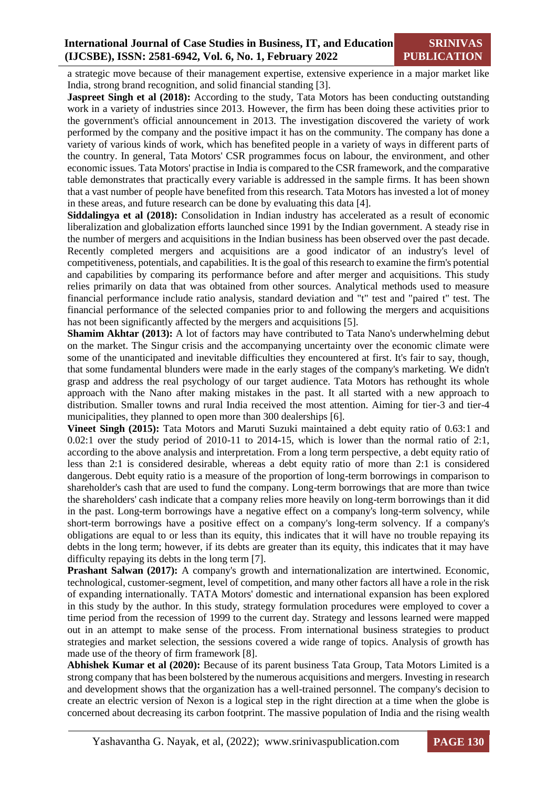a strategic move because of their management expertise, extensive experience in a major market like India, strong brand recognition, and solid financial standing [3].

**Jaspreet Singh et al (2018):** According to the study, Tata Motors has been conducting outstanding work in a variety of industries since 2013. However, the firm has been doing these activities prior to the government's official announcement in 2013. The investigation discovered the variety of work performed by the company and the positive impact it has on the community. The company has done a variety of various kinds of work, which has benefited people in a variety of ways in different parts of the country. In general, Tata Motors' CSR programmes focus on labour, the environment, and other economic issues. Tata Motors' practise in India is compared to the CSR framework, and the comparative table demonstrates that practically every variable is addressed in the sample firms. It has been shown that a vast number of people have benefited from this research. Tata Motors has invested a lot of money in these areas, and future research can be done by evaluating this data [4].

Siddalingya et al (2018): Consolidation in Indian industry has accelerated as a result of economic liberalization and globalization efforts launched since 1991 by the Indian government. A steady rise in the number of mergers and acquisitions in the Indian business has been observed over the past decade. Recently completed mergers and acquisitions are a good indicator of an industry's level of competitiveness, potentials, and capabilities. It is the goal of this research to examine the firm's potential and capabilities by comparing its performance before and after merger and acquisitions. This study relies primarily on data that was obtained from other sources. Analytical methods used to measure financial performance include ratio analysis, standard deviation and "t" test and "paired t" test. The financial performance of the selected companies prior to and following the mergers and acquisitions has not been significantly affected by the mergers and acquisitions [5].

**Shamim Akhtar (2013):** A lot of factors may have contributed to Tata Nano's underwhelming debut on the market. The Singur crisis and the accompanying uncertainty over the economic climate were some of the unanticipated and inevitable difficulties they encountered at first. It's fair to say, though, that some fundamental blunders were made in the early stages of the company's marketing. We didn't grasp and address the real psychology of our target audience. Tata Motors has rethought its whole approach with the Nano after making mistakes in the past. It all started with a new approach to distribution. Smaller towns and rural India received the most attention. Aiming for tier-3 and tier-4 municipalities, they planned to open more than 300 dealerships [6].

**Vineet Singh (2015):** Tata Motors and Maruti Suzuki maintained a debt equity ratio of 0.63:1 and 0.02:1 over the study period of 2010-11 to 2014-15, which is lower than the normal ratio of 2:1, according to the above analysis and interpretation. From a long term perspective, a debt equity ratio of less than 2:1 is considered desirable, whereas a debt equity ratio of more than 2:1 is considered dangerous. Debt equity ratio is a measure of the proportion of long-term borrowings in comparison to shareholder's cash that are used to fund the company. Long-term borrowings that are more than twice the shareholders' cash indicate that a company relies more heavily on long-term borrowings than it did in the past. Long-term borrowings have a negative effect on a company's long-term solvency, while short-term borrowings have a positive effect on a company's long-term solvency. If a company's obligations are equal to or less than its equity, this indicates that it will have no trouble repaying its debts in the long term; however, if its debts are greater than its equity, this indicates that it may have difficulty repaying its debts in the long term [7].

**Prashant Salwan (2017):** A company's growth and internationalization are intertwined. Economic, technological, customer-segment, level of competition, and many other factors all have a role in the risk of expanding internationally. TATA Motors' domestic and international expansion has been explored in this study by the author. In this study, strategy formulation procedures were employed to cover a time period from the recession of 1999 to the current day. Strategy and lessons learned were mapped out in an attempt to make sense of the process. From international business strategies to product strategies and market selection, the sessions covered a wide range of topics. Analysis of growth has made use of the theory of firm framework [8].

**Abhishek Kumar et al (2020):** Because of its parent business Tata Group, Tata Motors Limited is a strong company that has been bolstered by the numerous acquisitions and mergers. Investing in research and development shows that the organization has a well-trained personnel. The company's decision to create an electric version of Nexon is a logical step in the right direction at a time when the globe is concerned about decreasing its carbon footprint. The massive population of India and the rising wealth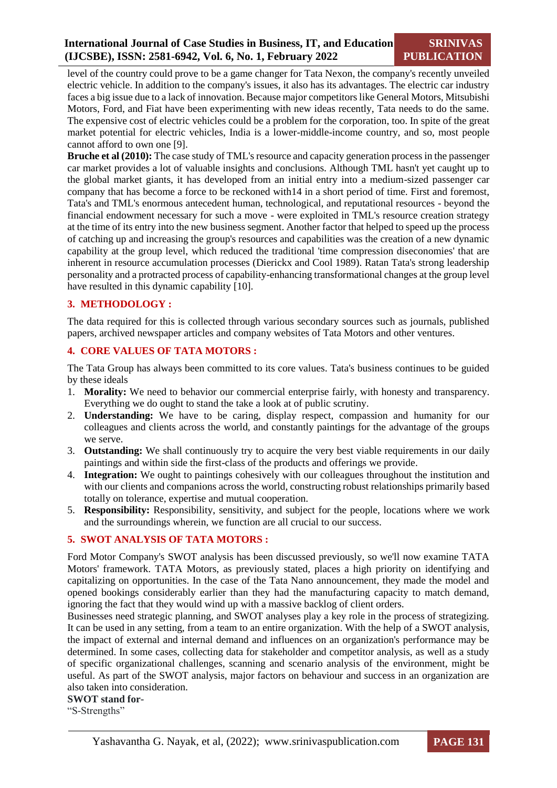## **International Journal of Case Studies in Business, IT, and Education (IJCSBE), ISSN: 2581-6942, Vol. 6, No. 1, February 2022**

**SRINIVAS PUBLICATION**

level of the country could prove to be a game changer for Tata Nexon, the company's recently unveiled electric vehicle. In addition to the company's issues, it also has its advantages. The electric car industry faces a big issue due to a lack of innovation. Because major competitors like General Motors, Mitsubishi Motors, Ford, and Fiat have been experimenting with new ideas recently, Tata needs to do the same. The expensive cost of electric vehicles could be a problem for the corporation, too. In spite of the great market potential for electric vehicles, India is a lower-middle-income country, and so, most people cannot afford to own one [9].

**Bruche et al (2010):** The case study of TML's resource and capacity generation process in the passenger car market provides a lot of valuable insights and conclusions. Although TML hasn't yet caught up to the global market giants, it has developed from an initial entry into a medium-sized passenger car company that has become a force to be reckoned with14 in a short period of time. First and foremost, Tata's and TML's enormous antecedent human, technological, and reputational resources - beyond the financial endowment necessary for such a move - were exploited in TML's resource creation strategy at the time of its entry into the new business segment. Another factor that helped to speed up the process of catching up and increasing the group's resources and capabilities was the creation of a new dynamic capability at the group level, which reduced the traditional 'time compression diseconomies' that are inherent in resource accumulation processes (Dierickx and Cool 1989). Ratan Tata's strong leadership personality and a protracted process of capability-enhancing transformational changes at the group level have resulted in this dynamic capability [10].

## **3. METHODOLOGY :**

The data required for this is collected through various secondary sources such as journals, published papers, archived newspaper articles and company websites of Tata Motors and other ventures.

## **4. CORE VALUES OF TATA MOTORS :**

The Tata Group has always been committed to its core values. Tata's business continues to be guided by these ideals

- 1. **Morality:** We need to behavior our commercial enterprise fairly, with honesty and transparency. Everything we do ought to stand the take a look at of public scrutiny.
- 2. **Understanding:** We have to be caring, display respect, compassion and humanity for our colleagues and clients across the world, and constantly paintings for the advantage of the groups we serve.
- 3. **Outstanding:** We shall continuously try to acquire the very best viable requirements in our daily paintings and within side the first-class of the products and offerings we provide.
- 4. **Integration:** We ought to paintings cohesively with our colleagues throughout the institution and with our clients and companions across the world, constructing robust relationships primarily based totally on tolerance, expertise and mutual cooperation.
- 5. **Responsibility:** Responsibility, sensitivity, and subject for the people, locations where we work and the surroundings wherein, we function are all crucial to our success.

## **5. SWOT ANALYSIS OF TATA MOTORS :**

Ford Motor Company's SWOT analysis has been discussed previously, so we'll now examine TATA Motors' framework. TATA Motors, as previously stated, places a high priority on identifying and capitalizing on opportunities. In the case of the Tata Nano announcement, they made the model and opened bookings considerably earlier than they had the manufacturing capacity to match demand, ignoring the fact that they would wind up with a massive backlog of client orders.

Businesses need strategic planning, and SWOT analyses play a key role in the process of strategizing. It can be used in any setting, from a team to an entire organization. With the help of a SWOT analysis, the impact of external and internal demand and influences on an organization's performance may be determined. In some cases, collecting data for stakeholder and competitor analysis, as well as a study of specific organizational challenges, scanning and scenario analysis of the environment, might be useful. As part of the SWOT analysis, major factors on behaviour and success in an organization are also taken into consideration.

#### **SWOT stand for-**

"S-Strengths"

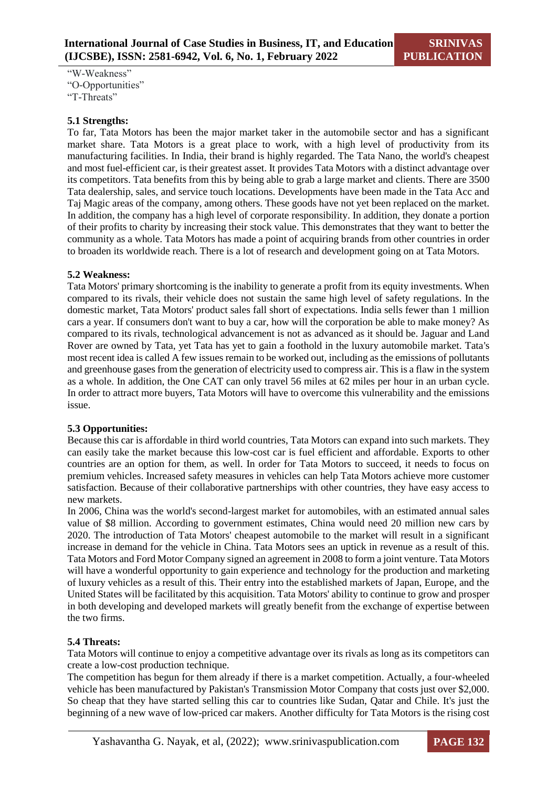"W-Weakness" "O-Opportunities" "T-Threats"

#### **5.1 Strengths:**

To far, Tata Motors has been the major market taker in the automobile sector and has a significant market share. Tata Motors is a great place to work, with a high level of productivity from its manufacturing facilities. In India, their brand is highly regarded. The Tata Nano, the world's cheapest and most fuel-efficient car, is their greatest asset. It provides Tata Motors with a distinct advantage over its competitors. Tata benefits from this by being able to grab a large market and clients. There are 3500 Tata dealership, sales, and service touch locations. Developments have been made in the Tata Acc and Taj Magic areas of the company, among others. These goods have not yet been replaced on the market. In addition, the company has a high level of corporate responsibility. In addition, they donate a portion of their profits to charity by increasing their stock value. This demonstrates that they want to better the community as a whole. Tata Motors has made a point of acquiring brands from other countries in order to broaden its worldwide reach. There is a lot of research and development going on at Tata Motors.

#### **5.2 Weakness:**

Tata Motors' primary shortcoming is the inability to generate a profit from its equity investments. When compared to its rivals, their vehicle does not sustain the same high level of safety regulations. In the domestic market, Tata Motors' product sales fall short of expectations. India sells fewer than 1 million cars a year. If consumers don't want to buy a car, how will the corporation be able to make money? As compared to its rivals, technological advancement is not as advanced as it should be. Jaguar and Land Rover are owned by Tata, yet Tata has yet to gain a foothold in the luxury automobile market. Tata's most recent idea is called A few issues remain to be worked out, including as the emissions of pollutants and greenhouse gases from the generation of electricity used to compress air. This is a flaw in the system as a whole. In addition, the One CAT can only travel 56 miles at 62 miles per hour in an urban cycle. In order to attract more buyers, Tata Motors will have to overcome this vulnerability and the emissions issue.

#### **5.3 Opportunities:**

Because this car is affordable in third world countries, Tata Motors can expand into such markets. They can easily take the market because this low-cost car is fuel efficient and affordable. Exports to other countries are an option for them, as well. In order for Tata Motors to succeed, it needs to focus on premium vehicles. Increased safety measures in vehicles can help Tata Motors achieve more customer satisfaction. Because of their collaborative partnerships with other countries, they have easy access to new markets.

In 2006, China was the world's second-largest market for automobiles, with an estimated annual sales value of \$8 million. According to government estimates, China would need 20 million new cars by 2020. The introduction of Tata Motors' cheapest automobile to the market will result in a significant increase in demand for the vehicle in China. Tata Motors sees an uptick in revenue as a result of this. Tata Motors and Ford Motor Company signed an agreement in 2008 to form a joint venture. Tata Motors will have a wonderful opportunity to gain experience and technology for the production and marketing of luxury vehicles as a result of this. Their entry into the established markets of Japan, Europe, and the United States will be facilitated by this acquisition. Tata Motors' ability to continue to grow and prosper in both developing and developed markets will greatly benefit from the exchange of expertise between the two firms.

#### **5.4 Threats:**

Tata Motors will continue to enjoy a competitive advantage over its rivals as long as its competitors can create a low-cost production technique.

The competition has begun for them already if there is a market competition. Actually, a four-wheeled vehicle has been manufactured by Pakistan's Transmission Motor Company that costs just over \$2,000. So cheap that they have started selling this car to countries like Sudan, Qatar and Chile. It's just the beginning of a new wave of low-priced car makers. Another difficulty for Tata Motors is the rising cost

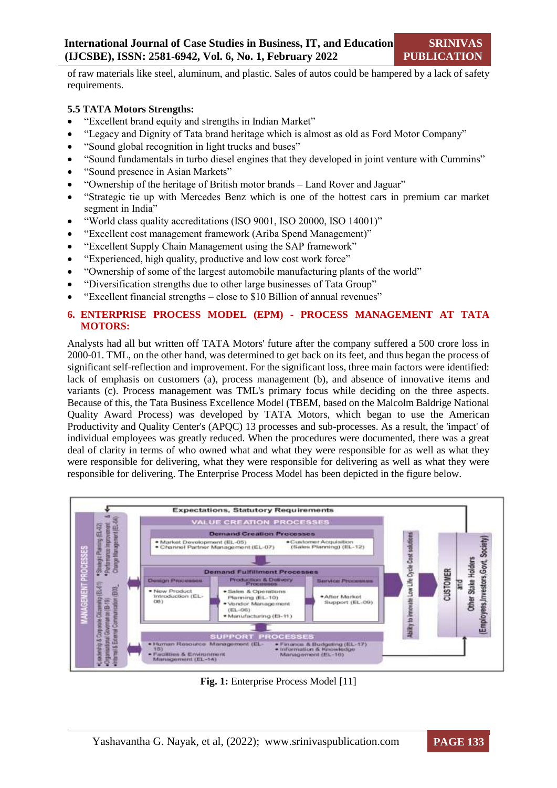of raw materials like steel, aluminum, and plastic. Sales of autos could be hampered by a lack of safety requirements.

## **5.5 TATA Motors Strengths:**

- "Excellent brand equity and strengths in Indian Market"
- "Legacy and Dignity of Tata brand heritage which is almost as old as Ford Motor Company"
- "Sound global recognition in light trucks and buses"
- "Sound fundamentals in turbo diesel engines that they developed in joint venture with Cummins"
- "Sound presence in Asian Markets"
- "Ownership of the heritage of British motor brands Land Rover and Jaguar"
- "Strategic tie up with Mercedes Benz which is one of the hottest cars in premium car market segment in India"
- "World class quality accreditations (ISO 9001, ISO 20000, ISO 14001)"
- "Excellent cost management framework (Ariba Spend Management)"
- "Excellent Supply Chain Management using the SAP framework"
- "Experienced, high quality, productive and low cost work force"
- "Ownership of some of the largest automobile manufacturing plants of the world"
- "Diversification strengths due to other large businesses of Tata Group"
- "Excellent financial strengths close to \$10 Billion of annual revenues"

## **6. ENTERPRISE PROCESS MODEL (EPM) - PROCESS MANAGEMENT AT TATA MOTORS:**

Analysts had all but written off TATA Motors' future after the company suffered a 500 crore loss in 2000-01. TML, on the other hand, was determined to get back on its feet, and thus began the process of significant self-reflection and improvement. For the significant loss, three main factors were identified: lack of emphasis on customers (a), process management (b), and absence of innovative items and variants (c). Process management was TML's primary focus while deciding on the three aspects. Because of this, the Tata Business Excellence Model (TBEM, based on the Malcolm Baldrige National Quality Award Process) was developed by TATA Motors, which began to use the American Productivity and Quality Center's (APQC) 13 processes and sub-processes. As a result, the 'impact' of individual employees was greatly reduced. When the procedures were documented, there was a great deal of clarity in terms of who owned what and what they were responsible for as well as what they were responsible for delivering, what they were responsible for delivering as well as what they were responsible for delivering. The Enterprise Process Model has been depicted in the figure below.



**Fig. 1:** Enterprise Process Model [11]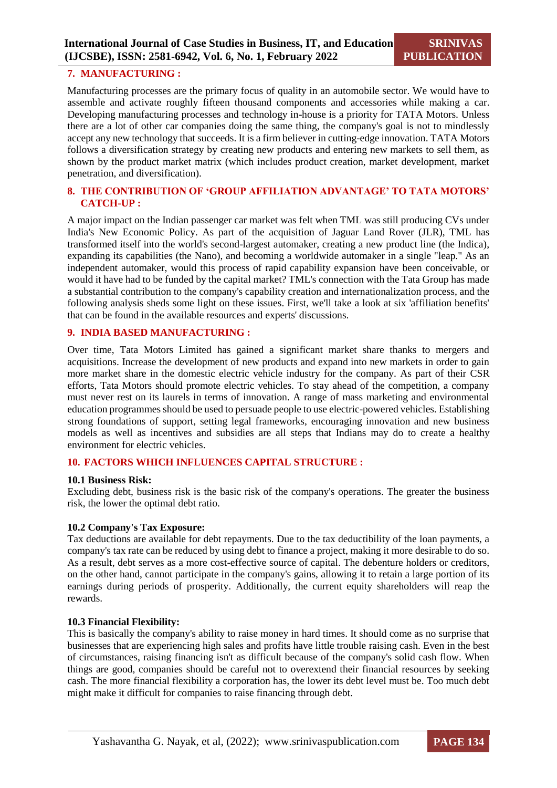#### **7. MANUFACTURING :**

Manufacturing processes are the primary focus of quality in an automobile sector. We would have to assemble and activate roughly fifteen thousand components and accessories while making a car. Developing manufacturing processes and technology in-house is a priority for TATA Motors. Unless there are a lot of other car companies doing the same thing, the company's goal is not to mindlessly accept any new technology that succeeds. It is a firm believer in cutting-edge innovation. TATA Motors follows a diversification strategy by creating new products and entering new markets to sell them, as shown by the product market matrix (which includes product creation, market development, market penetration, and diversification).

## **8. THE CONTRIBUTION OF 'GROUP AFFILIATION ADVANTAGE' TO TATA MOTORS' CATCH-UP :**

A major impact on the Indian passenger car market was felt when TML was still producing CVs under India's New Economic Policy. As part of the acquisition of Jaguar Land Rover (JLR), TML has transformed itself into the world's second-largest automaker, creating a new product line (the Indica), expanding its capabilities (the Nano), and becoming a worldwide automaker in a single "leap." As an independent automaker, would this process of rapid capability expansion have been conceivable, or would it have had to be funded by the capital market? TML's connection with the Tata Group has made a substantial contribution to the company's capability creation and internationalization process, and the following analysis sheds some light on these issues. First, we'll take a look at six 'affiliation benefits' that can be found in the available resources and experts' discussions.

## **9. INDIA BASED MANUFACTURING :**

Over time, Tata Motors Limited has gained a significant market share thanks to mergers and acquisitions. Increase the development of new products and expand into new markets in order to gain more market share in the domestic electric vehicle industry for the company. As part of their CSR efforts, Tata Motors should promote electric vehicles. To stay ahead of the competition, a company must never rest on its laurels in terms of innovation. A range of mass marketing and environmental education programmes should be used to persuade people to use electric-powered vehicles. Establishing strong foundations of support, setting legal frameworks, encouraging innovation and new business models as well as incentives and subsidies are all steps that Indians may do to create a healthy environment for electric vehicles.

#### **10. FACTORS WHICH INFLUENCES CAPITAL STRUCTURE :**

#### **10.1 Business Risk:**

Excluding debt, business risk is the basic risk of the company's operations. The greater the business risk, the lower the optimal debt ratio.

#### **10.2 Company's Tax Exposure:**

Tax deductions are available for debt repayments. Due to the tax deductibility of the loan payments, a company's tax rate can be reduced by using debt to finance a project, making it more desirable to do so. As a result, debt serves as a more cost-effective source of capital. The debenture holders or creditors, on the other hand, cannot participate in the company's gains, allowing it to retain a large portion of its earnings during periods of prosperity. Additionally, the current equity shareholders will reap the rewards.

#### **10.3 Financial Flexibility:**

This is basically the company's ability to raise money in hard times. It should come as no surprise that businesses that are experiencing high sales and profits have little trouble raising cash. Even in the best of circumstances, raising financing isn't as difficult because of the company's solid cash flow. When things are good, companies should be careful not to overextend their financial resources by seeking cash. The more financial flexibility a corporation has, the lower its debt level must be. Too much debt might make it difficult for companies to raise financing through debt.

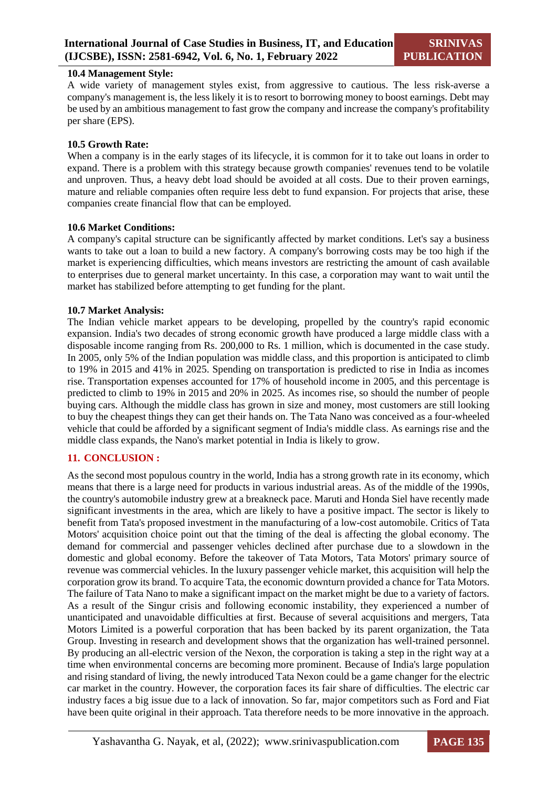#### **10.4 Management Style:**

A wide variety of management styles exist, from aggressive to cautious. The less risk-averse a company's management is, the less likely it is to resort to borrowing money to boost earnings. Debt may be used by an ambitious management to fast grow the company and increase the company's profitability per share (EPS).

#### **10.5 Growth Rate:**

When a company is in the early stages of its lifecycle, it is common for it to take out loans in order to expand. There is a problem with this strategy because growth companies' revenues tend to be volatile and unproven. Thus, a heavy debt load should be avoided at all costs. Due to their proven earnings, mature and reliable companies often require less debt to fund expansion. For projects that arise, these companies create financial flow that can be employed.

## **10.6 Market Conditions:**

A company's capital structure can be significantly affected by market conditions. Let's say a business wants to take out a loan to build a new factory. A company's borrowing costs may be too high if the market is experiencing difficulties, which means investors are restricting the amount of cash available to enterprises due to general market uncertainty. In this case, a corporation may want to wait until the market has stabilized before attempting to get funding for the plant.

#### **10.7 Market Analysis:**

The Indian vehicle market appears to be developing, propelled by the country's rapid economic expansion. India's two decades of strong economic growth have produced a large middle class with a disposable income ranging from Rs. 200,000 to Rs. 1 million, which is documented in the case study. In 2005, only 5% of the Indian population was middle class, and this proportion is anticipated to climb to 19% in 2015 and 41% in 2025. Spending on transportation is predicted to rise in India as incomes rise. Transportation expenses accounted for 17% of household income in 2005, and this percentage is predicted to climb to 19% in 2015 and 20% in 2025. As incomes rise, so should the number of people buying cars. Although the middle class has grown in size and money, most customers are still looking to buy the cheapest things they can get their hands on. The Tata Nano was conceived as a four-wheeled vehicle that could be afforded by a significant segment of India's middle class. As earnings rise and the middle class expands, the Nano's market potential in India is likely to grow.

## **11. CONCLUSION :**

As the second most populous country in the world, India has a strong growth rate in its economy, which means that there is a large need for products in various industrial areas. As of the middle of the 1990s, the country's automobile industry grew at a breakneck pace. Maruti and Honda Siel have recently made significant investments in the area, which are likely to have a positive impact. The sector is likely to benefit from Tata's proposed investment in the manufacturing of a low-cost automobile. Critics of Tata Motors' acquisition choice point out that the timing of the deal is affecting the global economy. The demand for commercial and passenger vehicles declined after purchase due to a slowdown in the domestic and global economy. Before the takeover of Tata Motors, Tata Motors' primary source of revenue was commercial vehicles. In the luxury passenger vehicle market, this acquisition will help the corporation grow its brand. To acquire Tata, the economic downturn provided a chance for Tata Motors. The failure of Tata Nano to make a significant impact on the market might be due to a variety of factors. As a result of the Singur crisis and following economic instability, they experienced a number of unanticipated and unavoidable difficulties at first. Because of several acquisitions and mergers, Tata Motors Limited is a powerful corporation that has been backed by its parent organization, the Tata Group. Investing in research and development shows that the organization has well-trained personnel. By producing an all-electric version of the Nexon, the corporation is taking a step in the right way at a time when environmental concerns are becoming more prominent. Because of India's large population and rising standard of living, the newly introduced Tata Nexon could be a game changer for the electric car market in the country. However, the corporation faces its fair share of difficulties. The electric car industry faces a big issue due to a lack of innovation. So far, major competitors such as Ford and Fiat have been quite original in their approach. Tata therefore needs to be more innovative in the approach.

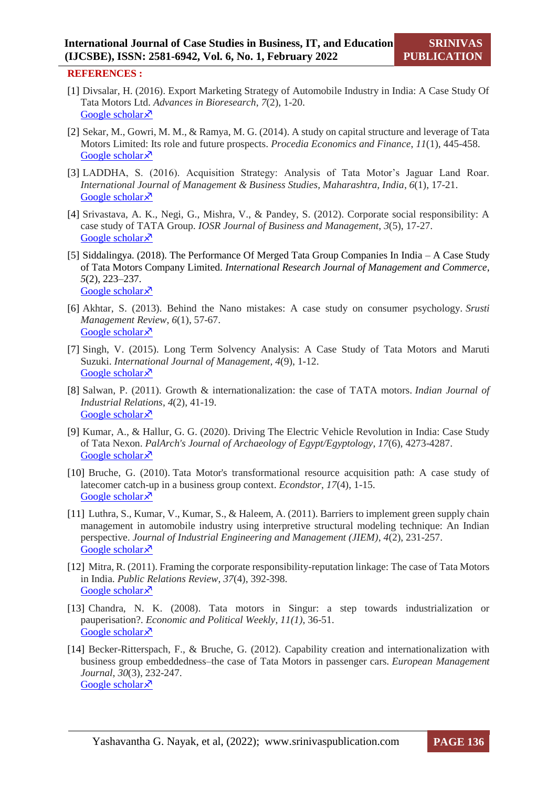#### **REFERENCES :**

- [1] Divsalar, H. (2016). Export Marketing Strategy of Automobile Industry in India: A Case Study Of Tata Motors Ltd. *Advances in Bioresearch*, *7*(2), 1-20. [Google scholar](https://scholar.google.com/scholar?hl=en&as_sdt=0%2C5&q=Export+Marketing+Strategy+Of+Automobile+Industry+In+India%3A+A+Case+Study+Of+Tata+Motors+Ltd&btnG=) $\lambda$
- [2] Sekar, M., Gowri, M. M., & Ramya, M. G. (2014). A study on capital structure and leverage of Tata Motors Limited: Its role and future prospects. *Procedia Economics and Finance*, *11*(1), 445-458. [Google scholar](https://www.sciencedirect.com/science/article/pii/S2212567114002111) ×
- [3] LADDHA, S. (2016). Acquisition Strategy: Analysis of Tata Motor's Jaguar Land Roar. *International Journal of Management & Business Studies, Maharashtra, India*, *6*(1), 17-21. [Google scholar](https://scholar.google.com/scholar?hl=en&as_sdt=0%2C5&q=Acquisition+Strategy%3A+Analysis+of+Tata+Motor%E2%80%99s+Jaguar+Land+Roar&btnG=) $\lambda$
- [4] Srivastava, A. K., Negi, G., Mishra, V., & Pandey, S. (2012). Corporate social responsibility: A case study of TATA Group. *IOSR Journal of Business and Management*, *3*(5), 17-27. [Google scholar](file:///C:/Users/P.S.%20Aithal/Downloads/%5b1%5d.https:/www.researchgate.net/profile/Amit-Srivastava-3/publication/271249875_Corporate_Social_Responsibility_A_Case_Study_Of_TATA_Group/links/5ddfa9e192851c83644f0ccf/Corporate-Social-Responsibility-A-Case-Study-Of-TATA-Group.pdf) $\overline{x}$
- [5] Siddalingya. (2018). The Performance Of Merged Tata Group Companies In India A Case Study of Tata Motors Company Limited. *International Research Journal of Management and Commerce*, *5*(2), 223–237. [Google scholar](https://www.academia.edu/36856321/THE_PERFORMANCE_OF_MERGED_TATA_GROUP_COMPANIES_IN_INDIA_A_CASE_STUDY_OF_TATA_MOTORS_COMPANY_LIMITED) $\lambda$
- [6] Akhtar, S. (2013). Behind the Nano mistakes: A case study on consumer psychology. *Srusti Management Review*, *6*(1), 57-67. [Google scholar](https://www.academia.edu/download/36790009/Behind_the_Nano_Mistakes-A_Case_Study_on_Consumer_Psychology.pdf) $\lambda$
- [7] Singh, V. (2015). Long Term Solvency Analysis: A Case Study of Tata Motors and Maruti Suzuki. *International Journal of Management, 4*(9), 1-12. [Google scholar](https://www.academia.edu/download/40390062/IJM_06_09_005.pdf)  $\times$
- [8] Salwan, P. (2011). Growth & internationalization: the case of TATA motors. *Indian Journal of Industrial Relations*, *4*(2), 41-19. [Google scholar](https://www.jstor.org/stable/23070550) $\overline{x}$
- [9] Kumar, A., & Hallur, G. G. (2020). Driving The Electric Vehicle Revolution in India: Case Study of Tata Nexon. *PalArch's Journal of Archaeology of Egypt/Egyptology*, *17*(6), 4273-4287. [Google scholar](https://archives.palarch.nl/index.php/jae/article/download/1683/1676) ×
- [10] Bruche, G. (2010). Tata Motor's transformational resource acquisition path: A case study of latecomer catch-up in a business group context. *Econdstor*, *17*(4), 1-15. [Google scholar](https://www.econstor.eu/handle/10419/74359) $\lambda$
- [11] Luthra, S., Kumar, V., Kumar, S., & Haleem, A. (2011). Barriers to implement green supply chain management in automobile industry using interpretive structural modeling technique: An Indian perspective. *Journal of Industrial Engineering and Management (JIEM)*, *4*(2), 231-257. [Google scholar](https://www.econstor.eu/handle/10419/188451) $\lambda$
- [12] Mitra, R. (2011). Framing the corporate responsibility-reputation linkage: The case of Tata Motors in India. *Public Relations Review*, *37*(4), 392-398. [Google scholar](https://www.sciencedirect.com/science/article/pii/S0363811111000725) $\lambda$
- [13] Chandra, N. K. (2008). Tata motors in Singur: a step towards industrialization or pauperisation?. *Economic and Political Weekly*, *11(1)*, 36-51. [Google scholar](https://www.jstor.org/stable/40278289) $\lambda$
- [14] Becker-Ritterspach, F., & Bruche, G. (2012). Capability creation and internationalization with business group embeddedness–the case of Tata Motors in passenger cars. *European Management Journal*, *30*(3), 232-247. [Google scholar](https://www.sciencedirect.com/science/article/pii/S0263237312000278) $\lambda$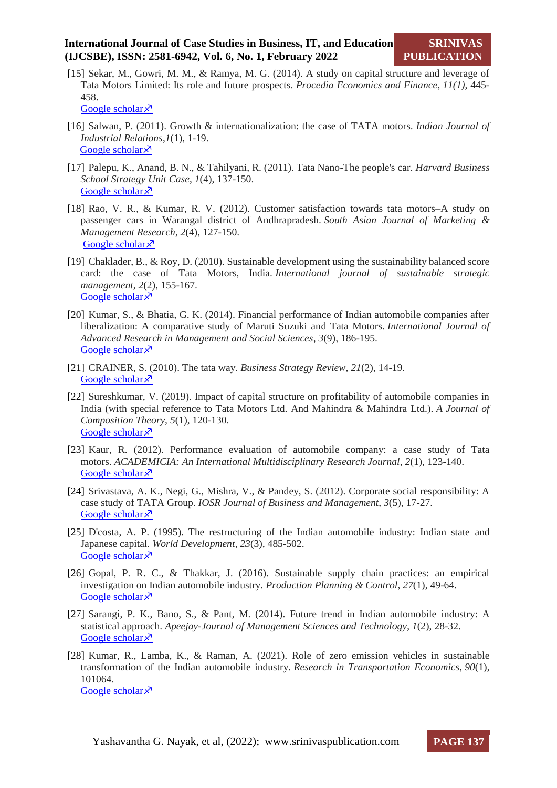[15] Sekar, M., Gowri, M. M., & Ramya, M. G. (2014). A study on capital structure and leverage of Tata Motors Limited: Its role and future prospects. *Procedia Economics and Finance*, *11(1)*, 445- 458.

[Google scholar](https://www.sciencedirect.com/science/article/pii/S2212567114002111) $\lambda$ 

- [16] Salwan, P. (2011). Growth & internationalization: the case of TATA motors. *Indian Journal of Industrial Relations*,*1*(1), 1-19. [Google scholar](https://www.jstor.org/stable/23070550) $\lambda$
- [17] Palepu, K., Anand, B. N., & Tahilyani, R. (2011). Tata Nano-The people's car. *Harvard Business School Strategy Unit Case*, *1*(4), 137-150. [Google scholar](https://papers.ssrn.com/sol3/papers.cfm?abstract_id=1997165)s<sup>7</sup>
- [18] Rao, V. R., & Kumar, R. V. (2012). Customer satisfaction towards tata motors–A study on passenger cars in Warangal district of Andhrapradesh. *South Asian Journal of Marketing & Management Research*, *2*(4), 127-150. [Google scholar](https://www.indianjournals.com/ijor.aspx?target=ijor:sajmmr&volume=2&issue=4&article=006) $\lambda$
- [19] Chaklader, B., & Roy, D. (2010). Sustainable development using the sustainability balanced score card: the case of Tata Motors, India. *International journal of sustainable strategic management*, *2*(2), 155-167. [Google scholar](https://www.inderscienceonline.com/doi/abs/10.1504/IJSSM.2010.032558) $\lambda$
- [20] Kumar, S., & Bhatia, G. K. (2014). Financial performance of Indian automobile companies after liberalization: A comparative study of Maruti Suzuki and Tata Motors. *International Journal of Advanced Research in Management and Social Sciences*, *3*(9), 186-195. [Google scholar](https://www.indianjournals.com/ijor.aspx?target=ijor:ijarmss&volume=3&issue=9&article=016) ×
- [21] CRAINER, S. (2010). The tata way. *Business Strategy Review*, *21*(2), 14-19. [Google scholar](https://onlinelibrary.wiley.com/doi/abs/10.1111/j.1467-8616.2010.00657.x) $\lambda$
- [22] Sureshkumar, V. (2019). Impact of capital structure on profitability of automobile companies in India (with special reference to Tata Motors Ltd. And Mahindra & Mahindra Ltd.). *A Journal of Composition Theory, 5*(1), 120-130. [Google scholar](http://jctjournal.com/gallery/134-july2019.pdf) $\lambda$
- [23] Kaur, R. (2012). Performance evaluation of automobile company: a case study of Tata motors. *ACADEMICIA: An International Multidisciplinary Research Journal*, *2*(1), 123-140. [Google scholar](https://www.indianjournals.com/ijor.aspx?target=ijor:aca&volume=2&issue=1&article=009) $\lambda$
- [24] Srivastava, A. K., Negi, G., Mishra, V., & Pandey, S. (2012). Corporate social responsibility: A case study of TATA Group. *IOSR Journal of Business and Management*, *3*(5), 17-27. [Google scholar](https://www.researchgate.net/profile/Amit-Srivastava-3/publication/271249875_Corporate_Social_Responsibility_A_Case_Study_Of_TATA_Group/links/5ddfa9e192851c83644f0ccf/Corporate-Social-Responsibility-A-Case-Study-Of-TATA-Group.pdf) $\lambda$
- [25] D'costa, A. P. (1995). The restructuring of the Indian automobile industry: Indian state and Japanese capital. *World Development*, *23*(3), 485-502. [Google scholar](https://www.sciencedirect.com/science/article/pii/0305750X9400135L) $\lambda$
- [26] Gopal, P. R. C., & Thakkar, J. (2016). Sustainable supply chain practices: an empirical investigation on Indian automobile industry. *Production Planning & Control*, *27*(1), 49-64. [Google scholar](https://www.tandfonline.com/doi/abs/10.1080/09537287.2015.1060368) $\lambda$
- [27] Sarangi, P. K., Bano, S., & Pant, M. (2014). Future trend in Indian automobile industry: A statistical approach. *Apeejay-Journal of Management Sciences and Technology*, *1*(2), 28-32. [Google scholar](https://www.apeejay.edu/aitsm/journal/docs/feb-14/ajmst-010204feb14.pdf)s<sup>7</sup>
- [28] Kumar, R., Lamba, K., & Raman, A. (2021). Role of zero emission vehicles in sustainable transformation of the Indian automobile industry. *Research in Transportation Economics*, *90*(1), 101064. [Google scholar](https://www.sciencedirect.com/science/article/pii/S0739885921000366) $\lambda$